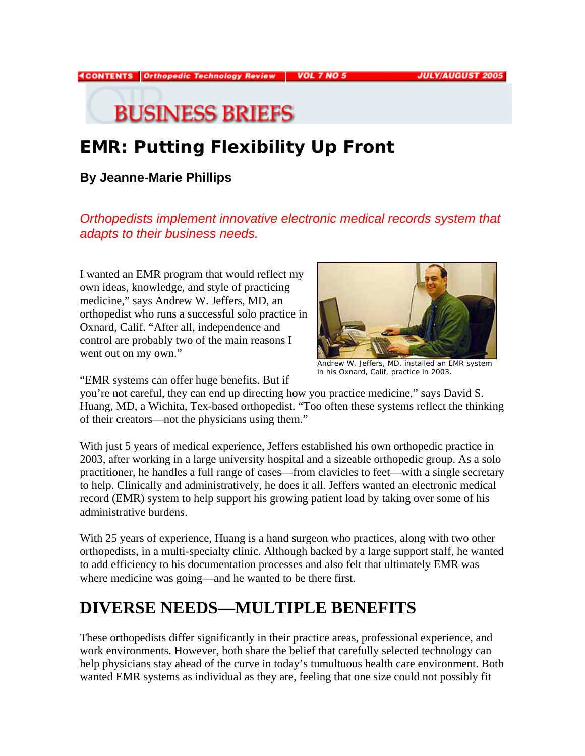#### **4CONTENTS** Orthopedic Technology Review **VOL 7 NO 5**

**JULY/AUGUST 2005** 

# **BUSINESS BRIEFS**

## **EMR: Putting Flexibility Up Front**

#### **By Jeanne-Marie Phillips**

*Orthopedists implement innovative electronic medical records system that adapts to their business needs.* 

I wanted an EMR program that would reflect my own ideas, knowledge, and style of practicing medicine," says Andrew W. Jeffers, MD, an orthopedist who runs a successful solo practice in Oxnard, Calif. "After all, independence and control are probably two of the main reasons I went out on my own."



Andrew W. Jeffers, MD, installed an EMR system in his Oxnard, Calif, practice in 2003.

"EMR systems can offer huge benefits. But if

you're not careful, they can end up directing how you practice medicine," says David S. Huang, MD, a Wichita, Tex-based orthopedist. "Too often these systems reflect the thinking of their creators—not the physicians using them."

With just 5 years of medical experience, Jeffers established his own orthopedic practice in 2003, after working in a large university hospital and a sizeable orthopedic group. As a solo practitioner, he handles a full range of cases—from clavicles to feet—with a single secretary to help. Clinically and administratively, he does it all. Jeffers wanted an electronic medical record (EMR) system to help support his growing patient load by taking over some of his administrative burdens.

With 25 years of experience, Huang is a hand surgeon who practices, along with two other orthopedists, in a multi-specialty clinic. Although backed by a large support staff, he wanted to add efficiency to his documentation processes and also felt that ultimately EMR was where medicine was going—and he wanted to be there first.

#### **DIVERSE NEEDS—MULTIPLE BENEFITS**

These orthopedists differ significantly in their practice areas, professional experience, and work environments. However, both share the belief that carefully selected technology can help physicians stay ahead of the curve in today's tumultuous health care environment. Both wanted EMR systems as individual as they are, feeling that one size could not possibly fit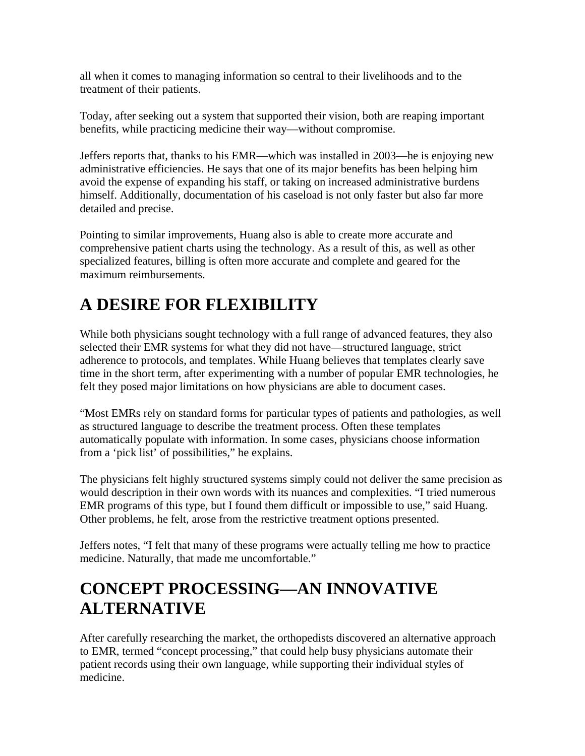all when it comes to managing information so central to their livelihoods and to the treatment of their patients.

Today, after seeking out a system that supported their vision, both are reaping important benefits, while practicing medicine their way—without compromise.

Jeffers reports that, thanks to his EMR—which was installed in 2003—he is enjoying new administrative efficiencies. He says that one of its major benefits has been helping him avoid the expense of expanding his staff, or taking on increased administrative burdens himself. Additionally, documentation of his caseload is not only faster but also far more detailed and precise.

Pointing to similar improvements, Huang also is able to create more accurate and comprehensive patient charts using the technology. As a result of this, as well as other specialized features, billing is often more accurate and complete and geared for the maximum reimbursements.

#### **A DESIRE FOR FLEXIBILITY**

While both physicians sought technology with a full range of advanced features, they also selected their EMR systems for what they did not have—structured language, strict adherence to protocols, and templates. While Huang believes that templates clearly save time in the short term, after experimenting with a number of popular EMR technologies, he felt they posed major limitations on how physicians are able to document cases.

"Most EMRs rely on standard forms for particular types of patients and pathologies, as well as structured language to describe the treatment process. Often these templates automatically populate with information. In some cases, physicians choose information from a 'pick list' of possibilities," he explains.

The physicians felt highly structured systems simply could not deliver the same precision as would description in their own words with its nuances and complexities. "I tried numerous EMR programs of this type, but I found them difficult or impossible to use," said Huang. Other problems, he felt, arose from the restrictive treatment options presented.

Jeffers notes, "I felt that many of these programs were actually telling me how to practice medicine. Naturally, that made me uncomfortable."

#### **CONCEPT PROCESSING—AN INNOVATIVE ALTERNATIVE**

After carefully researching the market, the orthopedists discovered an alternative approach to EMR, termed "concept processing," that could help busy physicians automate their patient records using their own language, while supporting their individual styles of medicine.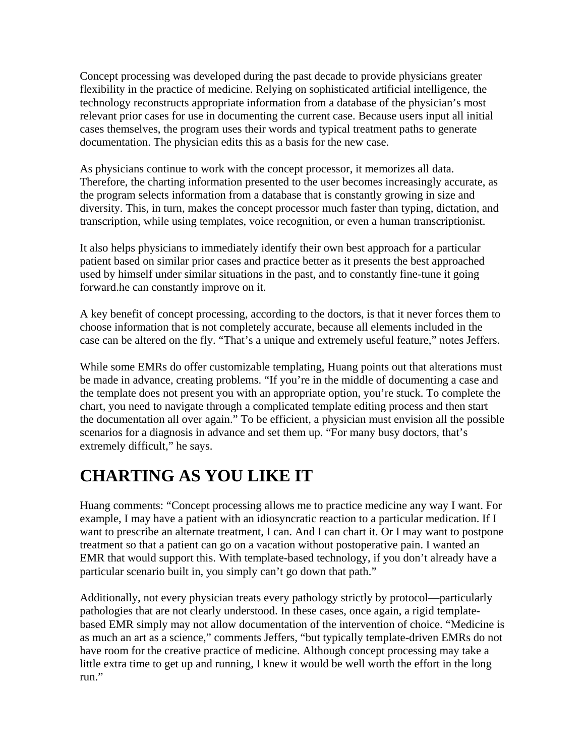Concept processing was developed during the past decade to provide physicians greater flexibility in the practice of medicine. Relying on sophisticated artificial intelligence, the technology reconstructs appropriate information from a database of the physician's most relevant prior cases for use in documenting the current case. Because users input all initial cases themselves, the program uses their words and typical treatment paths to generate documentation. The physician edits this as a basis for the new case.

As physicians continue to work with the concept processor, it memorizes all data. Therefore, the charting information presented to the user becomes increasingly accurate, as the program selects information from a database that is constantly growing in size and diversity. This, in turn, makes the concept processor much faster than typing, dictation, and transcription, while using templates, voice recognition, or even a human transcriptionist.

It also helps physicians to immediately identify their own best approach for a particular patient based on similar prior cases and practice better as it presents the best approached used by himself under similar situations in the past, and to constantly fine-tune it going forward.he can constantly improve on it.

A key benefit of concept processing, according to the doctors, is that it never forces them to choose information that is not completely accurate, because all elements included in the case can be altered on the fly. "That's a unique and extremely useful feature," notes Jeffers.

While some EMRs do offer customizable templating, Huang points out that alterations must be made in advance, creating problems. "If you're in the middle of documenting a case and the template does not present you with an appropriate option, you're stuck. To complete the chart, you need to navigate through a complicated template editing process and then start the documentation all over again." To be efficient, a physician must envision all the possible scenarios for a diagnosis in advance and set them up. "For many busy doctors, that's extremely difficult," he says.

### **CHARTING AS YOU LIKE IT**

Huang comments: "Concept processing allows me to practice medicine any way I want. For example, I may have a patient with an idiosyncratic reaction to a particular medication. If I want to prescribe an alternate treatment, I can. And I can chart it. Or I may want to postpone treatment so that a patient can go on a vacation without postoperative pain. I wanted an EMR that would support this. With template-based technology, if you don't already have a particular scenario built in, you simply can't go down that path."

Additionally, not every physician treats every pathology strictly by protocol—particularly pathologies that are not clearly understood. In these cases, once again, a rigid templatebased EMR simply may not allow documentation of the intervention of choice. "Medicine is as much an art as a science," comments Jeffers, "but typically template-driven EMRs do not have room for the creative practice of medicine. Although concept processing may take a little extra time to get up and running, I knew it would be well worth the effort in the long run."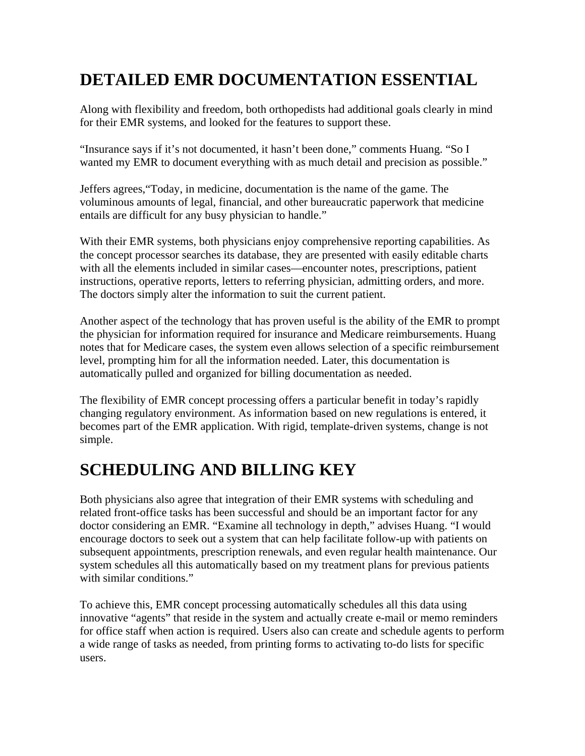#### **DETAILED EMR DOCUMENTATION ESSENTIAL**

Along with flexibility and freedom, both orthopedists had additional goals clearly in mind for their EMR systems, and looked for the features to support these.

"Insurance says if it's not documented, it hasn't been done," comments Huang. "So I wanted my EMR to document everything with as much detail and precision as possible."

Jeffers agrees,"Today, in medicine, documentation is the name of the game. The voluminous amounts of legal, financial, and other bureaucratic paperwork that medicine entails are difficult for any busy physician to handle."

With their EMR systems, both physicians enjoy comprehensive reporting capabilities. As the concept processor searches its database, they are presented with easily editable charts with all the elements included in similar cases—encounter notes, prescriptions, patient instructions, operative reports, letters to referring physician, admitting orders, and more. The doctors simply alter the information to suit the current patient.

Another aspect of the technology that has proven useful is the ability of the EMR to prompt the physician for information required for insurance and Medicare reimbursements. Huang notes that for Medicare cases, the system even allows selection of a specific reimbursement level, prompting him for all the information needed. Later, this documentation is automatically pulled and organized for billing documentation as needed.

The flexibility of EMR concept processing offers a particular benefit in today's rapidly changing regulatory environment. As information based on new regulations is entered, it becomes part of the EMR application. With rigid, template-driven systems, change is not simple.

### **SCHEDULING AND BILLING KEY**

Both physicians also agree that integration of their EMR systems with scheduling and related front-office tasks has been successful and should be an important factor for any doctor considering an EMR. "Examine all technology in depth," advises Huang. "I would encourage doctors to seek out a system that can help facilitate follow-up with patients on subsequent appointments, prescription renewals, and even regular health maintenance. Our system schedules all this automatically based on my treatment plans for previous patients with similar conditions."

To achieve this, EMR concept processing automatically schedules all this data using innovative "agents" that reside in the system and actually create e-mail or memo reminders for office staff when action is required. Users also can create and schedule agents to perform a wide range of tasks as needed, from printing forms to activating to-do lists for specific users.